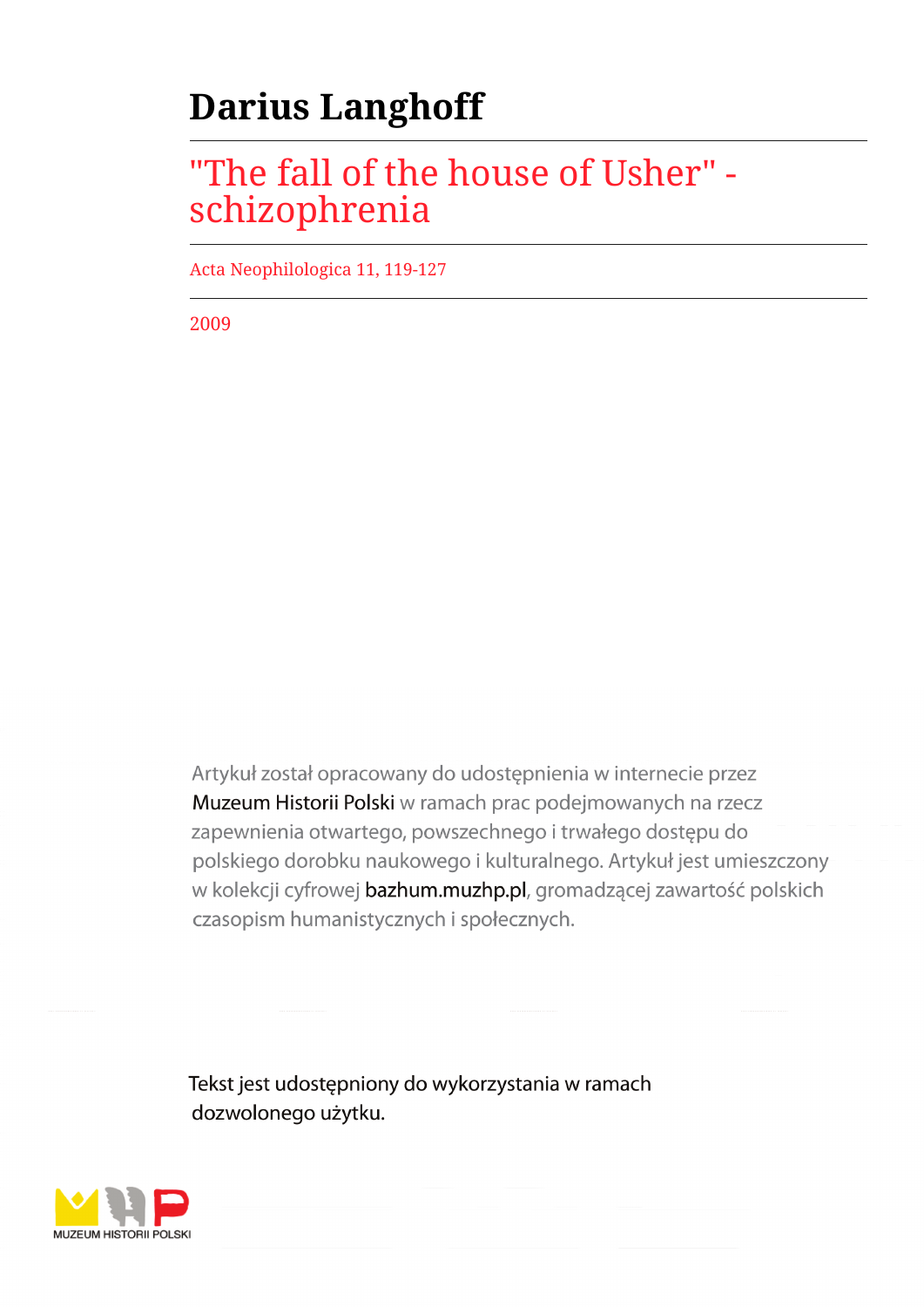# **Darius Langhoff**

## "The fall of the house of Usher" schizophrenia

Acta Neophilologica 11, 119-127

2009

Artykuł został opracowany do udostępnienia w internecie przez Muzeum Historii Polski w ramach prac podejmowanych na rzecz zapewnienia otwartego, powszechnego i trwałego dostępu do polskiego dorobku naukowego i kulturalnego. Artykuł jest umieszczony w kolekcji cyfrowej bazhum.muzhp.pl, gromadzącej zawartość polskich czasopism humanistycznych i społecznych.

Tekst jest udostępniony do wykorzystania w ramach dozwolonego użytku.

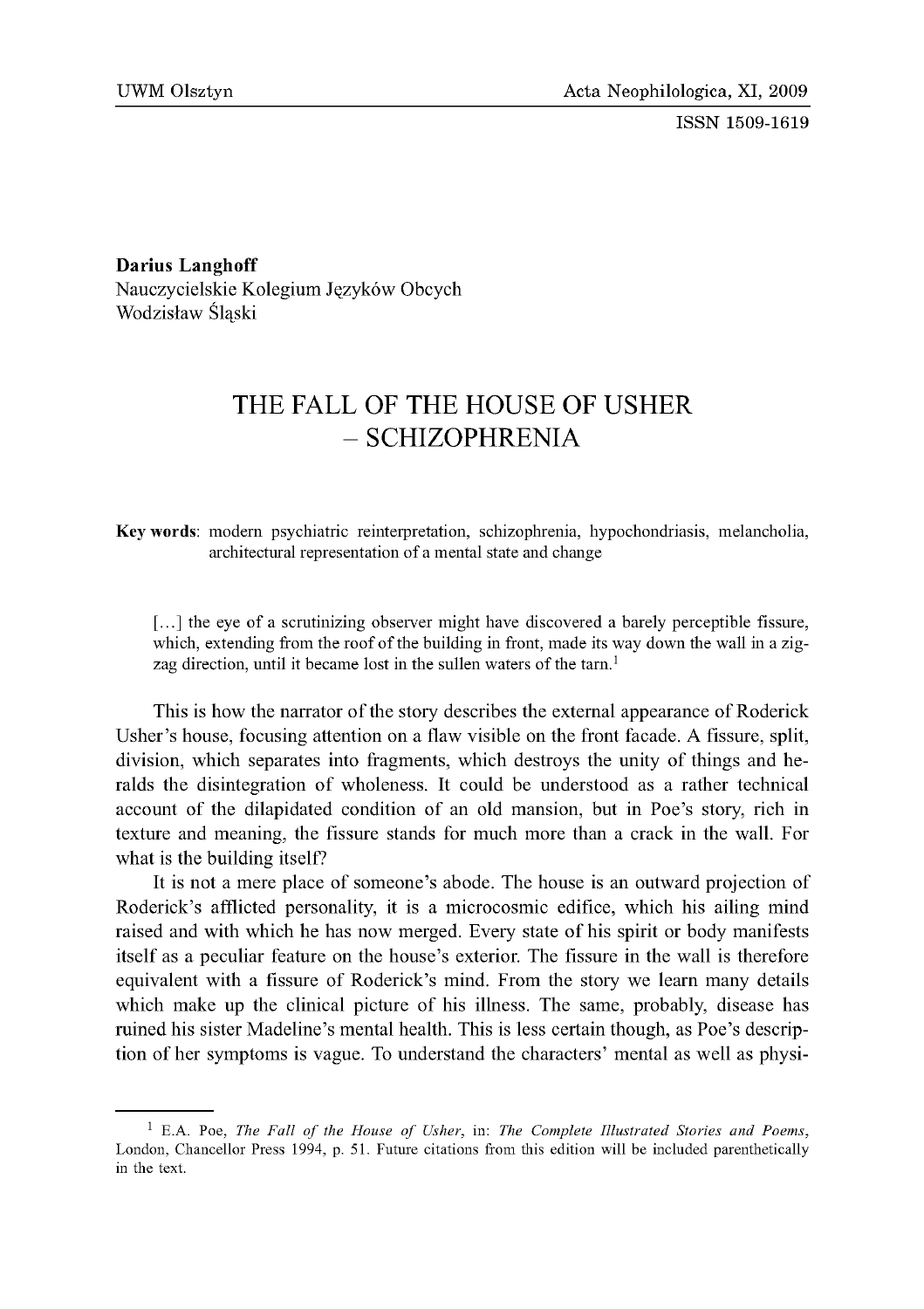ISSN 1509-1619

Darius Langhoff Nauczycielskie Kolegium Języków Obcych Wodzisław Śląski

### THE FALL OF THE HOUSE OF USHER - SCHIZOPHRENIA

Key words: modern psychiatric reinterpretation, schizophrenia, hypochondriasis, melancholia, architectural representation of a mental state and change

[...] the eye of a scrutinizing observer might have discovered a barely perceptible fissure, which, extending from the roof of the building in front, made its way down the wall in a zigzag direction, until it became lost in the sullen waters of the tarn.<sup>1</sup>

This is how the narrator of the story describes the external appearance of Roderick Usher's house, focusing attention on a flaw visible on the front facade. A fissure, split, division, which separates into fragments, which destroys the unity of things and heralds the disintegration of wholeness. It could be understood as a rather technical account of the dilapidated condition of an old mansion, but in Poe's story, rich in texture and meaning, the fissure stands for much more than a crack in the wall. For what is the building itself?

It is not a mere place of someone's abode. The house is an outward projection of Roderick's afflicted personality, it is a microcosmic edifice, which his ailing mind raised and with which he has now merged. Every state of his spirit or body manifests itself as a peculiar feature on the house's exterior. The fissure in the wall is therefore equivalent with a fissure of Roderick's mind. From the story we learn many details which make up the clinical picture of his illness. The same, probably, disease has ruined his sister Madeline's mental health. This is less certain though, as Poe's description of her symptoms is vague. To understand the characters' mental as well as physi-

<sup>1</sup> E.A. Poe, *The Fall of the House of Usher,* in: *The Complete Illustrated Stories and Poems,* London, Chancellor Press 1994, p. 51. Future citations from this edition will be included parenthetically in the text.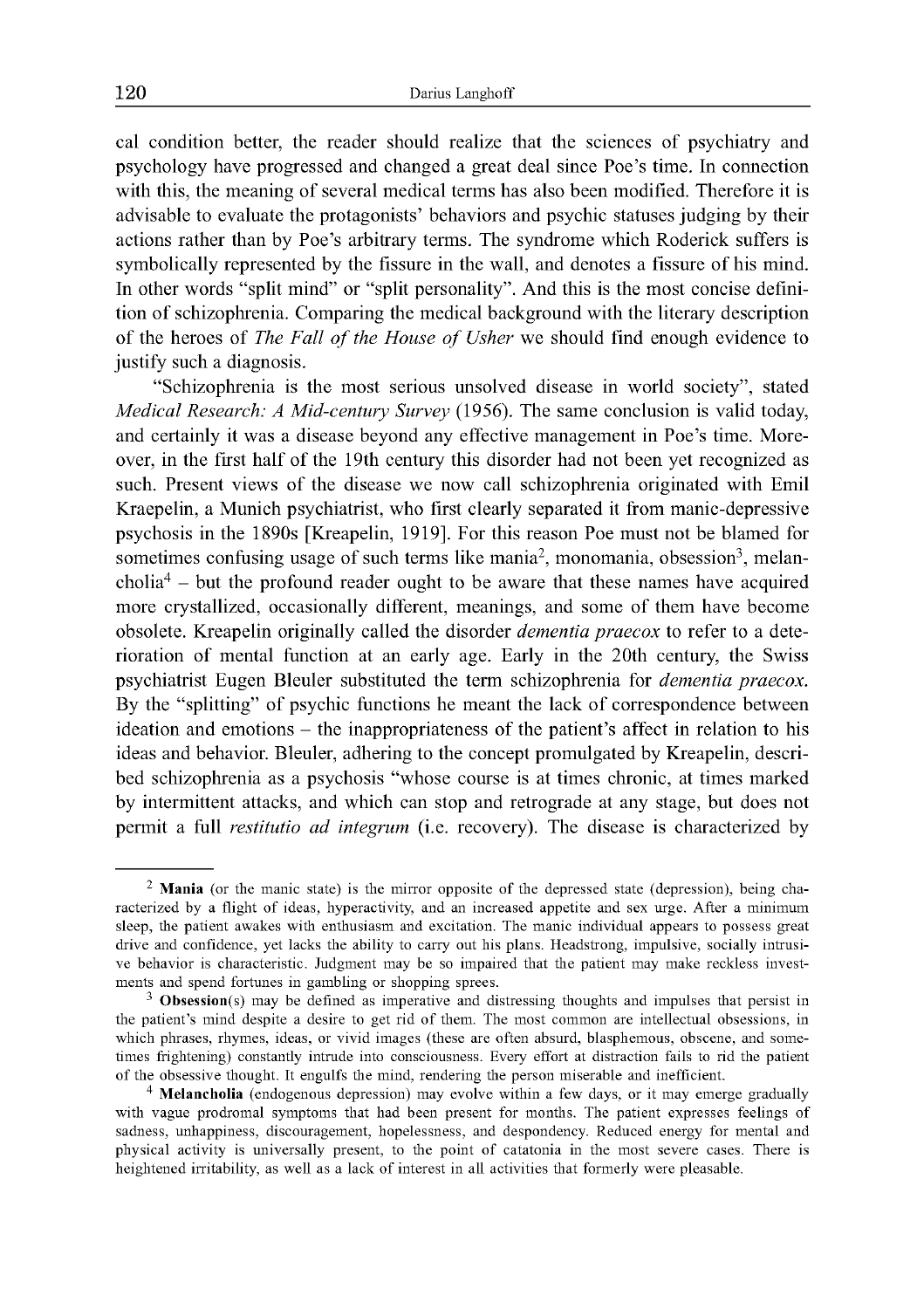cal condition better, the reader should realize that the sciences of psychiatry and psychology have progressed and changed a great deal since Poe's time. In connection with this, the meaning of several medical terms has also been modified. Therefore it is advisable to evaluate the protagonists' behaviors and psychic statuses judging by their actions rather than by Poe's arbitrary terms. The syndrome which Roderick suffers is symbolically represented by the fissure in the wall, and denotes a fissure of his mind. In other words "split mind" or "split personality". And this is the most concise definition of schizophrenia. Comparing the medical background with the literary description of the heroes of *The Fall of the House of Usher* we should find enough evidence to justify such a diagnosis.

"Schizophrenia is the most serious unsolved disease in world society", stated *Medical Research: A Mid-century Survey* (1956). The same conclusion is valid today, and certainly it was a disease beyond any effective management in Poe's time. Moreover, in the first half of the 19th century this disorder had not been yet recognized as such. Present views of the disease we now call schizophrenia originated with Emil Kraepelin, a Munich psychiatrist, who first clearly separated it from manic-depressive psychosis in the 1890s [Kreapelin, 1919]. For this reason Poe must not be blamed for sometimes confusing usage of such terms like mania<sup>2</sup>, monomania, obsession<sup>3</sup>, melan- $\text{cholia}^4$  – but the profound reader ought to be aware that these names have acquired more crystallized, occasionally different, meanings, and some of them have become obsolete. Kreapelin originally called the disorder *dementia praecox* to refer to a deterioration of mental function at an early age. Early in the 20th century, the Swiss psychiatrist Eugen Bleuler substituted the term schizophrenia for *dementia praecox.* By the "splitting" of psychic functions he meant the lack of correspondence between ideation and emotions - the inappropriateness of the patient's affect in relation to his ideas and behavior. Bleuler, adhering to the concept promulgated by Kreapelin, described schizophrenia as a psychosis "whose course is at times chronic, at times marked by intermittent attacks, and which can stop and retrograde at any stage, but does not permit a full *restitutio ad integrum* (i.e. recovery). The disease is characterized by

<sup>&</sup>lt;sup>2</sup> Mania (or the manic state) is the mirror opposite of the depressed state (depression), being characterized by a flight of ideas, hyperactivity, and an increased appetite and sex urge. After a minimum sleep, the patient awakes with enthusiasm and excitation. The manic individual appears to possess great drive and confidence, yet lacks the ability to carry out his plans. Headstrong, impulsive, socially intrusive behavior is characteristic. Judgment may be so impaired that the patient may make reckless investments and spend fortunes in gambling or shopping sprees.

<sup>&</sup>lt;sup>3</sup> Obsession(s) may be defined as imperative and distressing thoughts and impulses that persist in the patient's mind despite a desire to get rid of them. The most common are intellectual obsessions, in which phrases, rhymes, ideas, or vivid images (these are often absurd, blasphemous, obscene, and sometimes frightening) constantly intrude into consciousness. Every effort at distraction fails to rid the patient of the obsessive thought. It engulfs the mind, rendering the person miserable and inefficient.

<sup>&</sup>lt;sup>4</sup> Melancholia (endogenous depression) may evolve within a few days, or it may emerge gradually with vague prodromal symptoms that had been present for months. The patient expresses feelings of sadness, unhappiness, discouragement, hopelessness, and despondency. Reduced energy for mental and physical activity is universally present, to the point of catatonia in the most severe cases. There is heightened irritability, as well as a lack of interest in all activities that formerly were pleasable.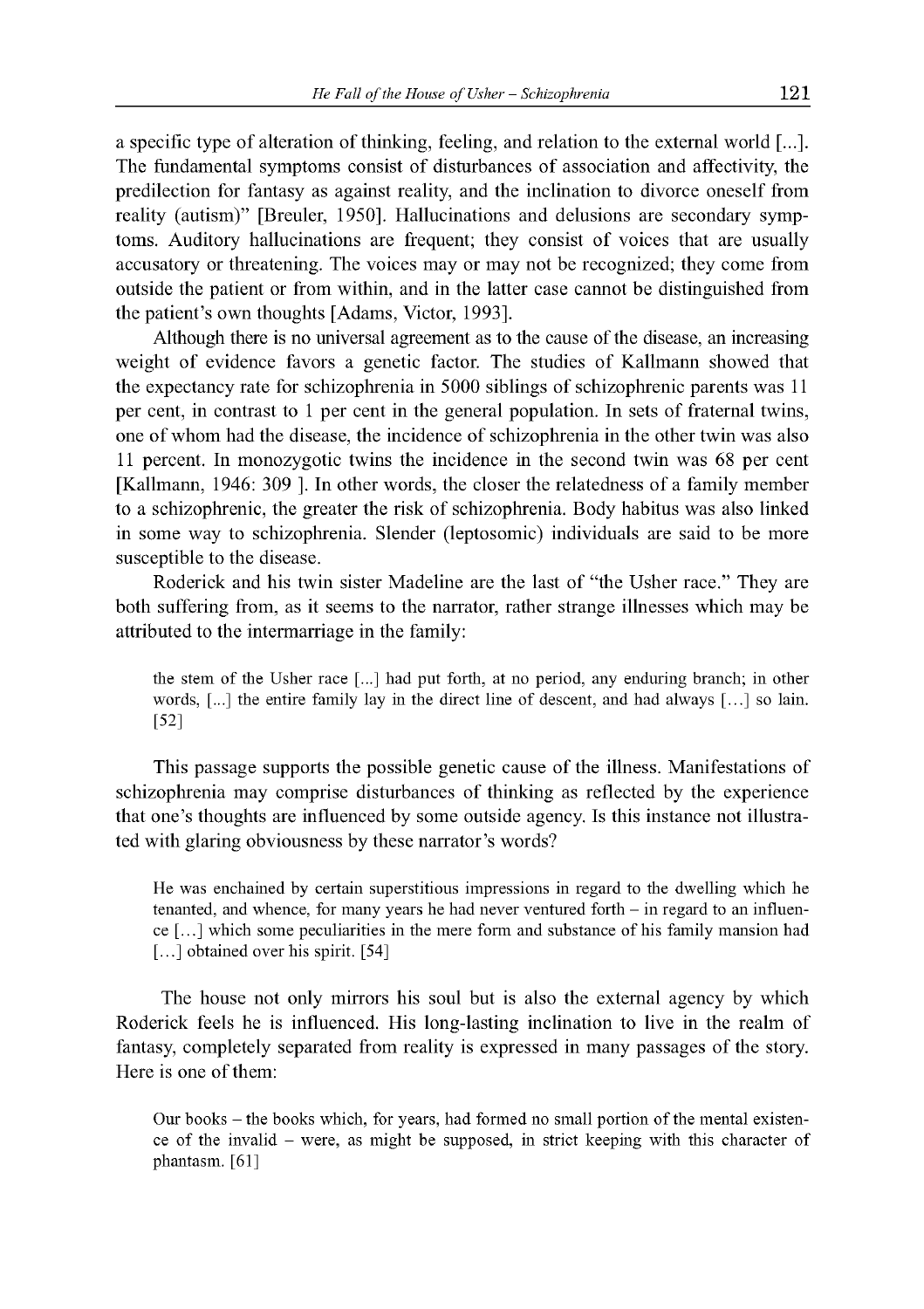a specific type of alteration of thinking, feeling, and relation to the external world [...]. The fundamental symptoms consist of disturbances of association and affectivity, the predilection for fantasy as against reality, and the inclination to divorce oneself from reality (autism)" [Breuler, 1950]. Hallucinations and delusions are secondary symptoms. Auditory hallucinations are frequent; they consist of voices that are usually accusatory or threatening. The voices may or may not be recognized; they come from outside the patient or from within, and in the latter case cannot be distinguished from the patient's own thoughts [Adams, Victor, 1993].

Although there is no universal agreement as to the cause of the disease, an increasing weight of evidence favors a genetic factor. The studies of Kallmann showed that the expectancy rate for schizophrenia in 5000 siblings of schizophrenic parents was 11 per cent, in contrast to 1 per cent in the general population. In sets of fraternal twins, one of whom had the disease, the incidence of schizophrenia in the other twin was also 11 percent. In monozygotic twins the incidence in the second twin was 68 per cent [Kallmann, 1946: 309 ]. In other words, the closer the relatedness of a family member to a schizophrenic, the greater the risk of schizophrenia. Body habitus was also linked in some way to schizophrenia. Slender (leptosomic) individuals are said to be more susceptible to the disease.

Roderick and his twin sister Madeline are the last of "the Usher race." They are both suffering from, as it seems to the narrator, rather strange illnesses which may be attributed to the intermarriage in the family:

the stem of the Usher race [...] had put forth, at no period, any enduring branch; in other words, [...] the entire family lay in the direct line of descent, and had always [...] so lain. [52]

This passage supports the possible genetic cause of the illness. Manifestations of schizophrenia may comprise disturbances of thinking as reflected by the experience that one's thoughts are influenced by some outside agency. Is this instance not illustrated with glaring obviousness by these narrator's words?

He was enchained by certain superstitious impressions in regard to the dwelling which he tenanted, and whence, for many years he had never ventured forth  $-$  in regard to an influence [...] which some peculiarities in the mere form and substance of his family mansion had [...] obtained over his spirit. [54]

The house not only mirrors his soul but is also the external agency by which Roderick feels he is influenced. His long-lasting inclination to live in the realm of fantasy, completely separated from reality is expressed in many passages of the story. Here is one of them:

Our books – the books which, for years, had formed no small portion of the mental existence of the invalid - were, as might be supposed, in strict keeping with this character of phantasm. [61]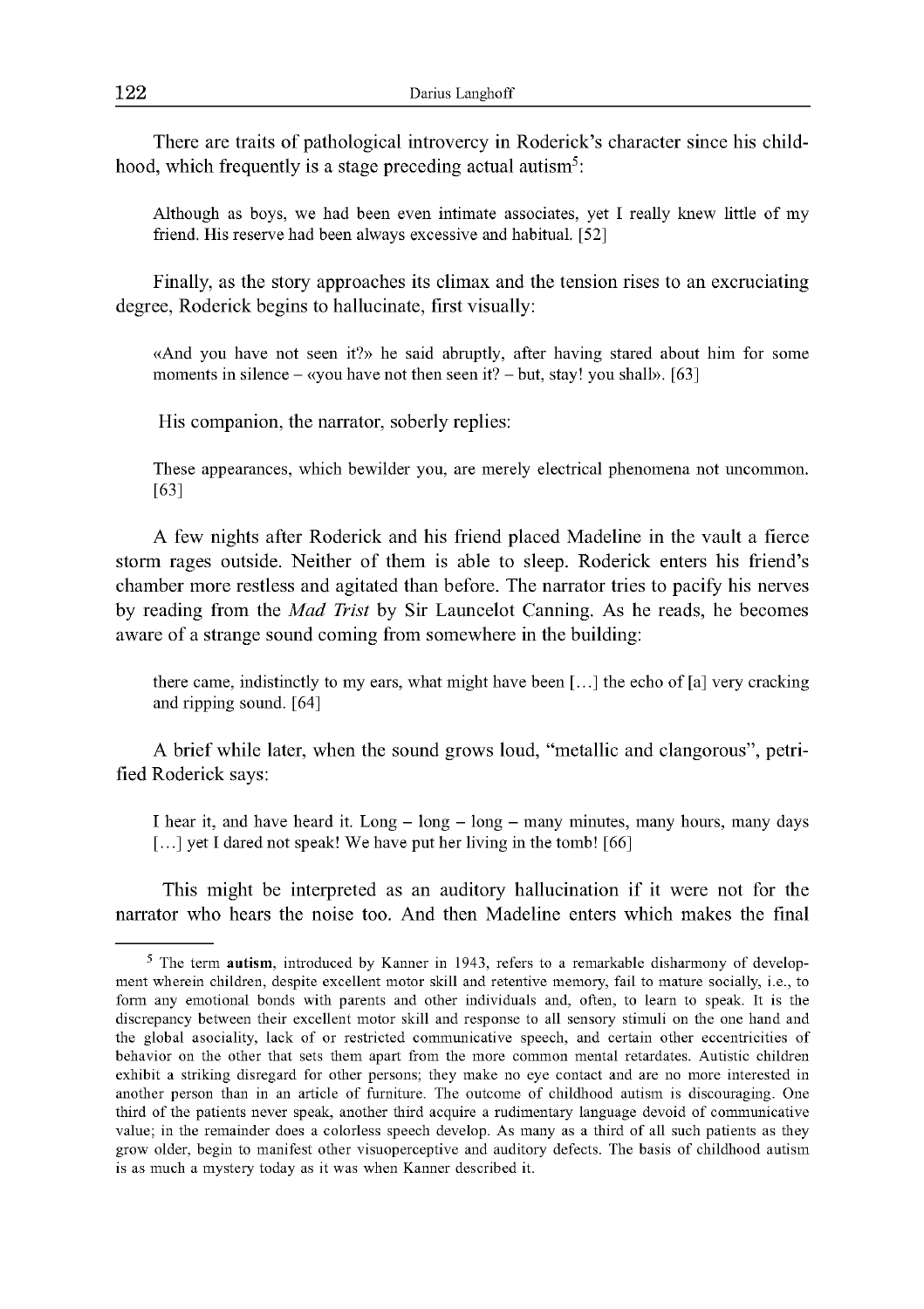There are traits of pathological introvercy in Roderick's character since his childhood, which frequently is a stage preceding actual autism<sup>5</sup>:

Although as boys, we had been even intimate associates, yet I really knew little of my friend. His reserve had been always excessive and habitual. [52]

Finally, as the story approaches its climax and the tension rises to an excruciating degree, Roderick begins to hallucinate, first visually:

«And you have not seen it?» he said abruptly, after having stared about him for some moments in silence  $-\alpha$  you have not then seen it?  $-\text{but, stay!}$  you shall». [63]

His companion, the narrator, soberly replies:

These appearances, which bewilder you, are merely electrical phenomena not uncommon. [63]

A few nights after Roderick and his friend placed Madeline in the vault a fierce storm rages outside. Neither of them is able to sleep. Roderick enters his friend's chamber more restless and agitated than before. The narrator tries to pacify his nerves by reading from the *Mad Trist* by Sir Launcelot Canning. As he reads, he becomes aware of a strange sound coming from somewhere in the building:

there came, indistinctly to my ears, what might have been  $[...]$  the echo of  $[a]$  very cracking and ripping sound. [64]

A brief while later, when the sound grows loud, "metallic and clangorous", petrified Roderick says:

I hear it, and have heard it. Long - long - long - many minutes, many hours, many days [...] yet I dared not speak! We have put her living in the tomb! [66]

This might be interpreted as an auditory hallucination if it were not for the narrator who hears the noise too. And then Madeline enters which makes the final

<sup>5</sup> The term autism, introduced by Kanner in 1943, refers to a remarkable disharmony of development wherein children, despite excellent motor skill and retentive memory, fail to mature socially, i.e., to form any emotional bonds with parents and other individuals and, often, to learn to speak. It is the discrepancy between their excellent motor skill and response to all sensory stimuli on the one hand and the global asociality, lack of or restricted communicative speech, and certain other eccentricities of behavior on the other that sets them apart from the more common mental retardates. Autistic children exhibit a striking disregard for other persons; they make no eye contact and are no more interested in another person than in an article of furniture. The outcome of childhood autism is discouraging. One third of the patients never speak, another third acquire a rudimentary language devoid of communicative value; in the remainder does a colorless speech develop. As many as a third of all such patients as they grow older, begin to manifest other visuoperceptive and auditory defects. The basis of childhood autism is as much a mystery today as it was when Kanner described it.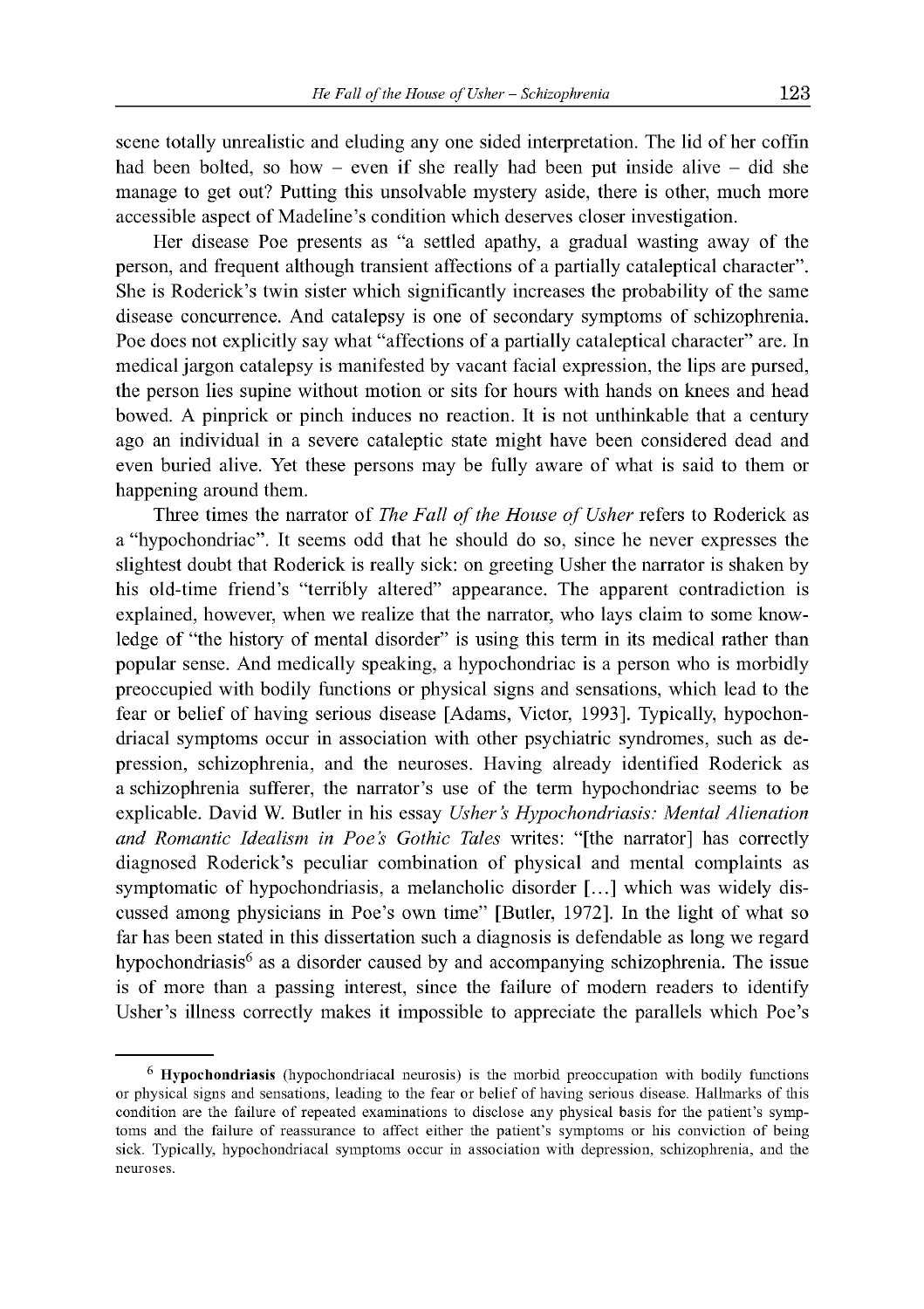manage to get out? Putting this unsolvable mystery aside, there is other, much more

scene totally unrealistic and eluding any one sided interpretation. The lid of her coffin had been bolted, so how – even if she really had been put inside alive – did she

accessible aspect of Madeline's condition which deserves closer investigation. Her disease Poe presents as "a settled apathy, a gradual wasting away of the person, and frequent although transient affections of a partially cataleptical character". She is Roderick's twin sister which significantly increases the probability of the same disease concurrence. And catalepsy is one of secondary symptoms of schizophrenia. Poe does not explicitly say what "affections of a partially cataleptical character" are. In medical jargon catalepsy is manifested by vacant facial expression, the lips are pursed, the person lies supine without motion or sits for hours with hands on knees and head bowed. A pinprick or pinch induces no reaction. It is not unthinkable that a century ago an individual in a severe cataleptic state might have been considered dead and even buried alive. Yet these persons may be fully aware of what is said to them or happening around them.

Three times the narrator of *The Fall of the House of Usher* refers to Roderick as a "hypochondriac". It seems odd that he should do so, since he never expresses the slightest doubt that Roderick is really sick: on greeting Usher the narrator is shaken by his old-time friend's "terribly altered" appearance. The apparent contradiction is explained, however, when we realize that the narrator, who lays claim to some knowledge of "the history of mental disorder" is using this term in its medical rather than popular sense. And medically speaking, a hypochondriac is a person who is morbidly preoccupied with bodily functions or physical signs and sensations, which lead to the fear or belief of having serious disease [Adams, Victor, 1993]. Typically, hypochondriacal symptoms occur in association with other psychiatric syndromes, such as depression, schizophrenia, and the neuroses. Having already identified Roderick as a schizophrenia sufferer, the narrator's use of the term hypochondriac seems to be explicable. David W. Butler in his essay *Usher's Hypochondriasis: Mental Alienation and Romantic Idealism in Poe's Gothic Tales* writes: "[the narrator] has correctly diagnosed Roderick's peculiar combination of physical and mental complaints as symptomatic of hypochondriasis, a melancholic disorder [...] which was widely discussed among physicians in Poe's own time" [Butler, 1972]. In the light of what so far has been stated in this dissertation such a diagnosis is defendable as long we regard hypochondriasis<sup>6</sup> as a disorder caused by and accompanying schizophrenia. The issue is of more than a passing interest, since the failure of modern readers to identify Usher's illness correctly makes it impossible to appreciate the parallels which Poe's

<sup>6</sup> Hypochondriasis (hypochondriacal neurosis) is the morbid preoccupation with bodily functions or physical signs and sensations, leading to the fear or belief of having serious disease. Hallmarks of this condition are the failure of repeated examinations to disclose any physical basis for the patient's symptoms and the failure of reassurance to affect either the patient's symptoms or his conviction of being sick. Typically, hypochondriacal symptoms occur in association with depression, schizophrenia, and the neuroses.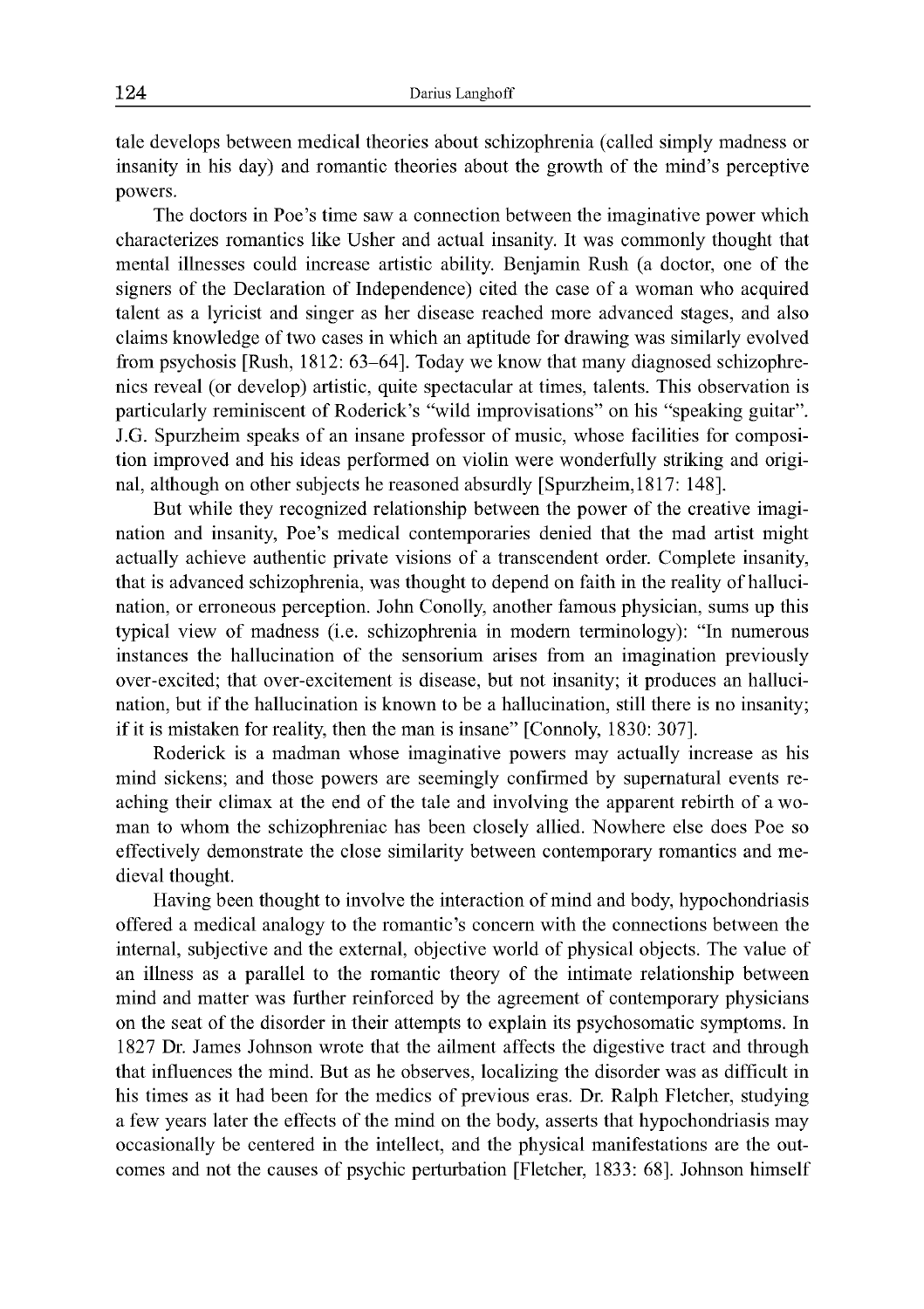tale develops between medical theories about schizophrenia (called simply madness or insanity in his day) and romantic theories about the growth of the mind's perceptive powers.

The doctors in Poe's time saw a connection between the imaginative power which characterizes romantics like Usher and actual insanity. It was commonly thought that mental illnesses could increase artistic ability. Benjamin Rush (a doctor, one of the signers of the Declaration of Independence) cited the case of a woman who acquired talent as a lyricist and singer as her disease reached more advanced stages, and also claims knowledge of two cases in which an aptitude for drawing was similarly evolved from psychosis [Rush, 1812: 63-64]. Today we know that many diagnosed schizophrenics reveal (or develop) artistic, quite spectacular at times, talents. This observation is particularly reminiscent of Roderick's "wild improvisations" on his "speaking guitar". J.G. Spurzheim speaks of an insane professor of music, whose facilities for composition improved and his ideas performed on violin were wonderfully striking and original, although on other subjects he reasoned absurdly [Spurzheim,1817: 148].

But while they recognized relationship between the power of the creative imagination and insanity, Poe's medical contemporaries denied that the mad artist might actually achieve authentic private visions of a transcendent order. Complete insanity, that is advanced schizophrenia, was thought to depend on faith in the reality of hallucination, or erroneous perception. John Conolly, another famous physician, sums up this typical view of madness (i.e. schizophrenia in modern terminology): "In numerous instances the hallucination of the sensorium arises from an imagination previously over-excited; that over-excitement is disease, but not insanity; it produces an hallucination, but if the hallucination is known to be a hallucination, still there is no insanity; if it is mistaken for reality, then the man is insane" [Connoly, 1830: 307].

Roderick is a madman whose imaginative powers may actually increase as his mind sickens; and those powers are seemingly confirmed by supernatural events reaching their climax at the end of the tale and involving the apparent rebirth of a woman to whom the schizophreniac has been closely allied. Nowhere else does Poe so effectively demonstrate the close similarity between contemporary romantics and medieval thought.

Having been thought to involve the interaction of mind and body, hypochondriasis offered a medical analogy to the romantic's concern with the connections between the internal, subjective and the external, objective world of physical objects. The value of an illness as a parallel to the romantic theory of the intimate relationship between mind and matter was further reinforced by the agreement of contemporary physicians on the seat of the disorder in their attempts to explain its psychosomatic symptoms. In 1827 Dr. James Johnson wrote that the ailment affects the digestive tract and through that influences the mind. But as he observes, localizing the disorder was as difficult in his times as it had been for the medics of previous eras. Dr. Ralph Fletcher, studying a few years later the effects of the mind on the body, asserts that hypochondriasis may occasionally be centered in the intellect, and the physical manifestations are the outcomes and not the causes of psychic perturbation [Fletcher, 1833: 68]. Johnson himself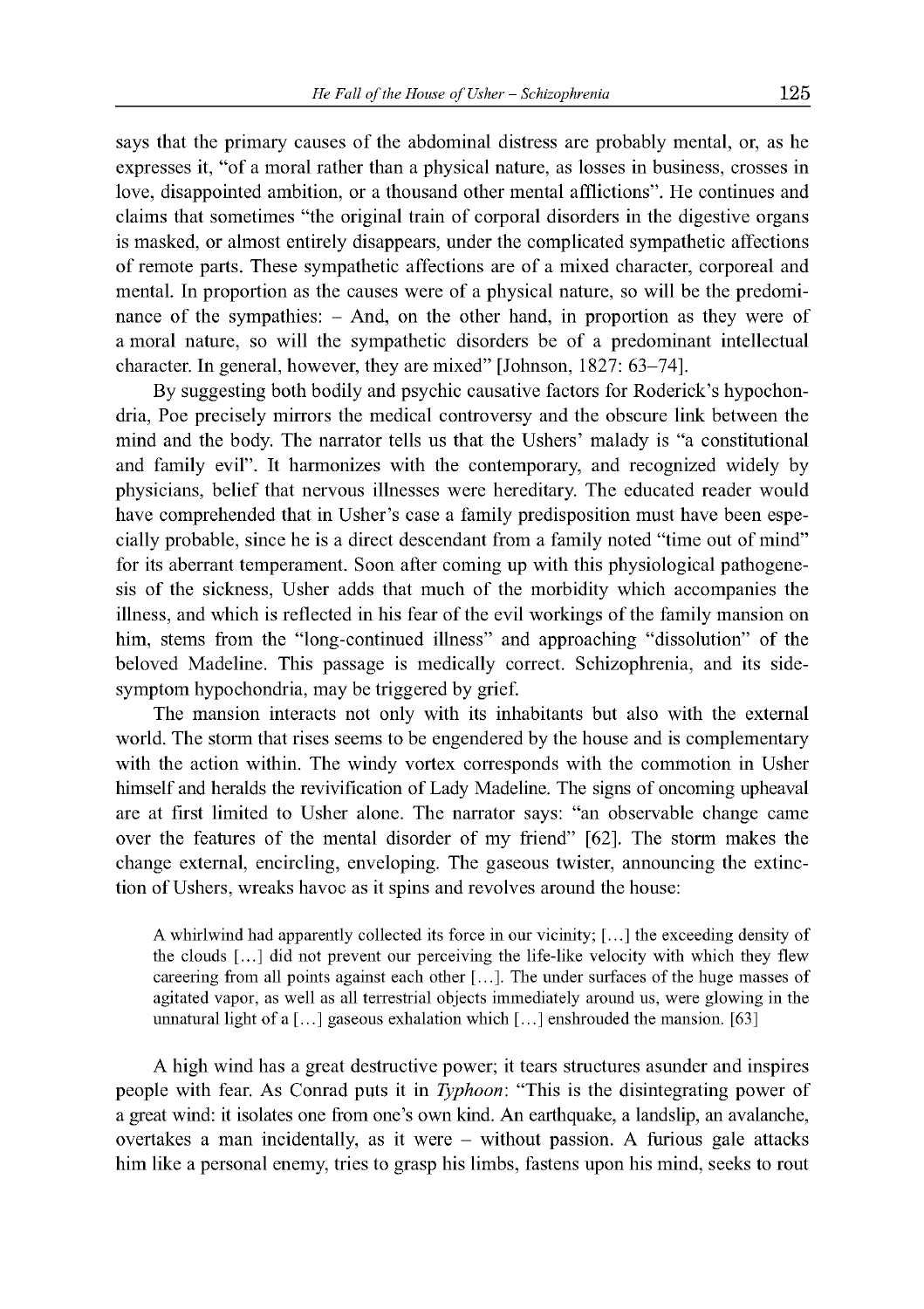says that the primary causes of the abdominal distress are probably mental, or, as he expresses it, "of a moral rather than a physical nature, as losses in business, crosses in love, disappointed ambition, or a thousand other mental afflictions". He continues and claims that sometimes "the original train of corporal disorders in the digestive organs is masked, or almost entirely disappears, under the complicated sympathetic affections of remote parts. These sympathetic affections are of a mixed character, corporeal and mental. In proportion as the causes were of a physical nature, so will be the predominance of the sympathies: - And, on the other hand, in proportion as they were of am oral nature, so will the sympathetic disorders be of a predominant intellectual character. In general, however, they are mixed" [Johnson, 1827: 63-74].

By suggesting both bodily and psychic causative factors for Roderick's hypochondria, Poe precisely mirrors the medical controversy and the obscure link between the mind and the body. The narrator tells us that the Ushers' malady is "a constitutional and family evil". It harmonizes with the contemporary, and recognized widely by physicians, belief that nervous illnesses were hereditary. The educated reader would have comprehended that in Usher's case a family predisposition must have been especially probable, since he is a direct descendant from a family noted "time out of mind" for its aberrant temperament. Soon after coming up with this physiological pathogenesis of the sickness, Usher adds that much of the morbidity which accompanies the illness, and which is reflected in his fear of the evil workings of the family mansion on him, stems from the "long-continued illness" and approaching "dissolution" of the beloved Madeline. This passage is medically correct. Schizophrenia, and its sidesymptom hypochondria, may be triggered by grief.

The mansion interacts not only with its inhabitants but also with the external world. The storm that rises seems to be engendered by the house and is complementary with the action within. The windy vortex corresponds with the commotion in Usher himself and heralds the revivification of Lady Madeline. The signs of oncoming upheaval are at first limited to Usher alone. The narrator says: "an observable change came over the features of the mental disorder of my friend" [62]. The storm makes the change external, encircling, enveloping. The gaseous twister, announcing the extinction of Ushers, wreaks havoc as it spins and revolves around the house:

A whirlwind had apparently collected its force in our vicinity; [...] the exceeding density of the clouds [...] did not prevent our perceiving the life-like velocity with which they flew careering from all points against each other [...]. The under surfaces of the huge masses of agitated vapor, as well as all terrestrial objects immediately around us, were glowing in the unnatural light of a  $[\dots]$  gaseous exhalation which  $[\dots]$  enshrouded the mansion. [63]

A high wind has a great destructive power; it tears structures asunder and inspires people with fear. As Conrad puts it in *Typhoon*: "This is the disintegrating power of a great wind: it isolates one from one's own kind. An earthquake, a landslip, an avalanche, overtakes a man incidentally, as it were - without passion. A furious gale attacks him like a personal enemy, tries to grasp his limbs, fastens upon his mind, seeks to rout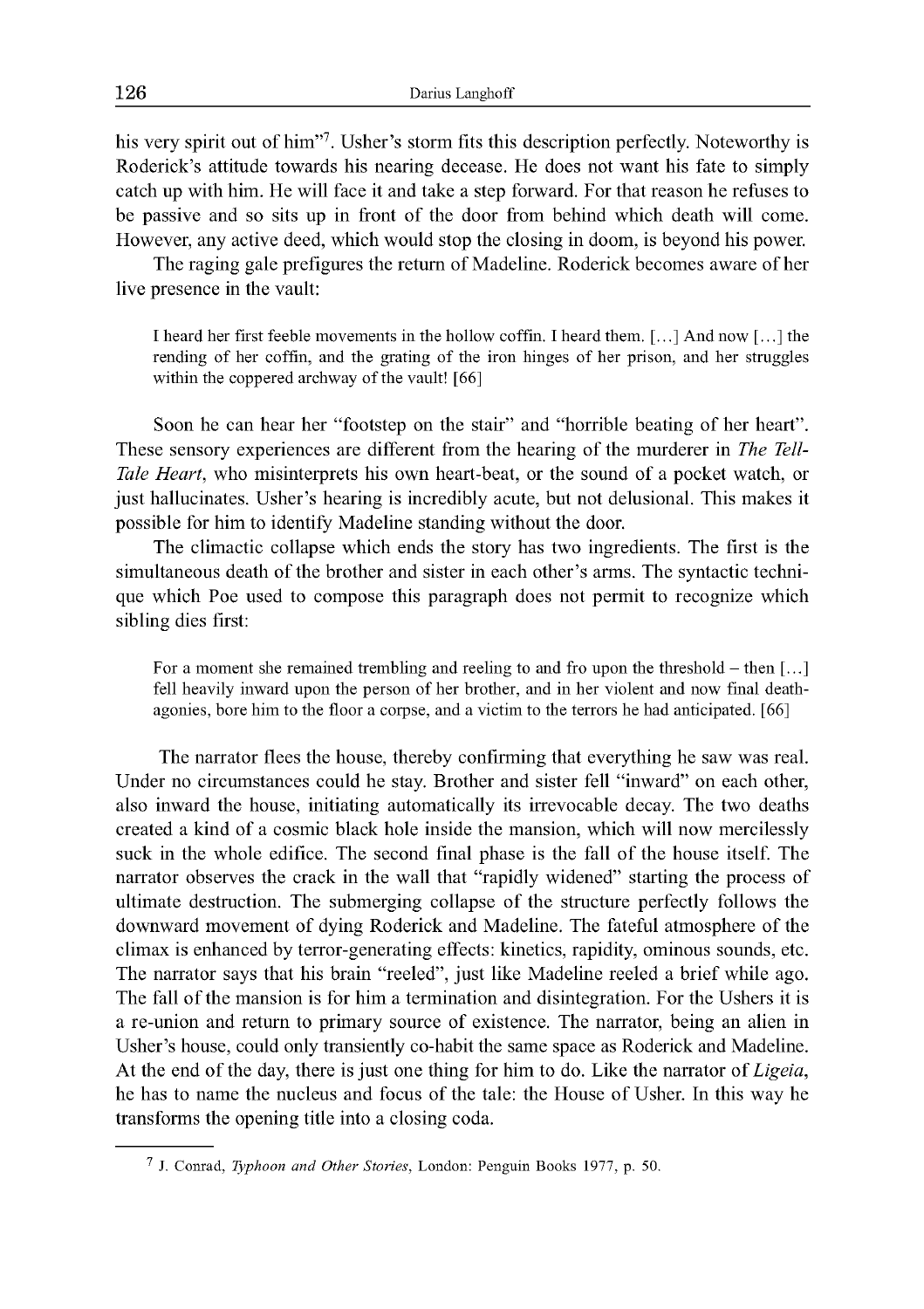his very spirit out of him"7. Usher's storm fits this description perfectly. Noteworthy is Roderick's attitude towards his nearing decease. He does not want his fate to simply catch up with him. He will face it and take a step forward. For that reason he refuses to be passive and so sits up in front of the door from behind which death will come. However, any active deed, which would stop the closing in doom, is beyond his power.

The raging gale prefigures the return of Madeline. Roderick becomes aware of her live presence in the vault:

I heard her first feeble movements in the hollow coffin. I heard them. [...] And now [...] the rending of her coffin, and the grating of the iron hinges of her prison, and her struggles within the coppered archway of the vault! [66]

Soon he can hear her "footstep on the stair" and "horrible beating of her heart". These sensory experiences are different from the hearing of the murderer in *The Tell-Tale Heart*, who misinterprets his own heart-beat, or the sound of a pocket watch, or just hallucinates. Usher's hearing is incredibly acute, but not delusional. This makes it possible for him to identify Madeline standing without the door.

The climactic collapse which ends the story has two ingredients. The first is the simultaneous death of the brother and sister in each other's arms. The syntactic technique which Poe used to compose this paragraph does not permit to recognize which sibling dies first:

For a moment she remained trembling and reeling to and fro upon the threshold  $-$  then  $[\dots]$ fell heavily inward upon the person of her brother, and in her violent and now final deathagonies, bore him to the floor a corpse, and a victim to the terrors he had anticipated. [66]

The narrator flees the house, thereby confirming that everything he saw was real. Under no circumstances could he stay. Brother and sister fell "inward" on each other, also inward the house, initiating automatically its irrevocable decay. The two deaths created a kind of a cosmic black hole inside the mansion, which will now mercilessly suck in the whole edifice. The second final phase is the fall of the house itself. The narrator observes the crack in the wall that "rapidly widened" starting the process of ultimate destruction. The submerging collapse of the structure perfectly follows the downward movement of dying Roderick and Madeline. The fateful atmosphere of the climax is enhanced by terror-generating effects: kinetics, rapidity, ominous sounds, etc. The narrator says that his brain "reeled", just like Madeline reeled a brief while ago. The fall of the mansion is for him a termination and disintegration. For the Ushers it is a re-union and return to primary source of existence. The narrator, being an alien in Usher's house, could only transiently co-habit the same space as Roderick and Madeline. At the end of the day, there is just one thing for him to do. Like the narrator of *Ligeia,* he has to name the nucleus and focus of the tale: the House of Usher. In this way he transforms the opening title into a closing coda.

<sup>7</sup> J. Conrad, *Typhoon and Other Stories,* London: Penguin Books 1977, p. 50.